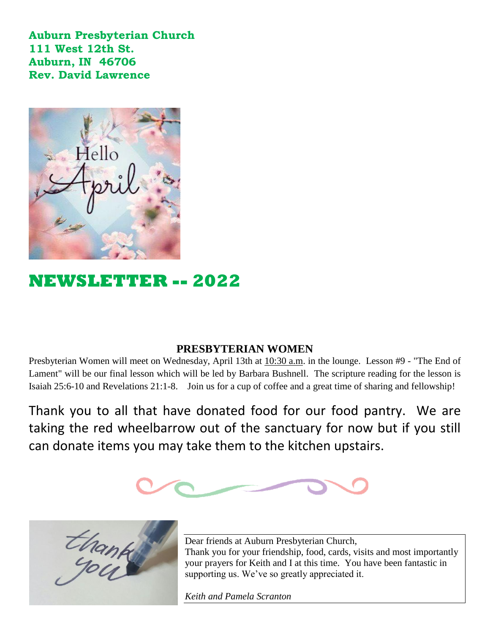**Auburn Presbyterian Church 111 West 12th St. Auburn, IN 46706 Rev. David Lawrence** 



# **NEWSLETTER -- 2022**

## **PRESBYTERIAN WOMEN**

Presbyterian Women will meet on Wednesday, April 13th at 10:30 a.m. in the lounge. Lesson #9 - "The End of Lament" will be our final lesson which will be led by Barbara Bushnell. The scripture reading for the lesson is Isaiah 25:6-10 and Revelations 21:1-8. Join us for a cup of coffee and a great time of sharing and fellowship!

Thank you to all that have donated food for our food pantry. We are taking the red wheelbarrow out of the sanctuary for now but if you still can donate items you may take them to the kitchen upstairs.





Dear friends at Auburn Presbyterian Church, Thank you for your friendship, food, cards, visits and most importantly your prayers for Keith and I at this time. You have been fantastic in supporting us. We've so greatly appreciated it.

*Keith and Pamela Scranton*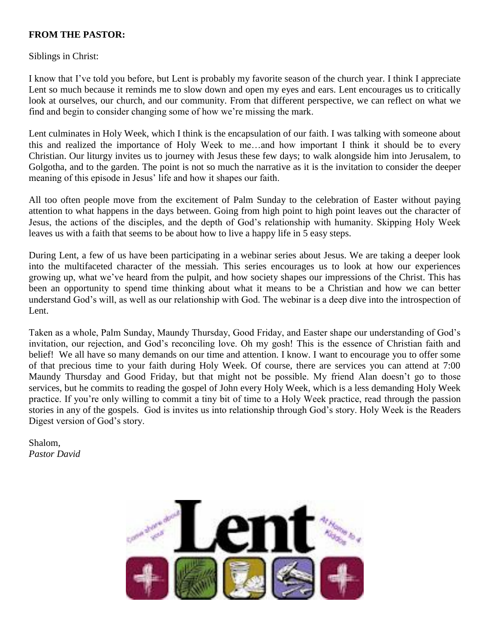#### **FROM THE PASTOR:**

Siblings in Christ:

I know that I've told you before, but Lent is probably my favorite season of the church year. I think I appreciate Lent so much because it reminds me to slow down and open my eyes and ears. Lent encourages us to critically look at ourselves, our church, and our community. From that different perspective, we can reflect on what we find and begin to consider changing some of how we're missing the mark.

Lent culminates in Holy Week, which I think is the encapsulation of our faith. I was talking with someone about this and realized the importance of Holy Week to me…and how important I think it should be to every Christian. Our liturgy invites us to journey with Jesus these few days; to walk alongside him into Jerusalem, to Golgotha, and to the garden. The point is not so much the narrative as it is the invitation to consider the deeper meaning of this episode in Jesus' life and how it shapes our faith.

All too often people move from the excitement of Palm Sunday to the celebration of Easter without paying attention to what happens in the days between. Going from high point to high point leaves out the character of Jesus, the actions of the disciples, and the depth of God's relationship with humanity. Skipping Holy Week leaves us with a faith that seems to be about how to live a happy life in 5 easy steps.

During Lent, a few of us have been participating in a webinar series about Jesus. We are taking a deeper look into the multifaceted character of the messiah. This series encourages us to look at how our experiences growing up, what we've heard from the pulpit, and how society shapes our impressions of the Christ. This has been an opportunity to spend time thinking about what it means to be a Christian and how we can better understand God's will, as well as our relationship with God. The webinar is a deep dive into the introspection of Lent.

Taken as a whole, Palm Sunday, Maundy Thursday, Good Friday, and Easter shape our understanding of God's invitation, our rejection, and God's reconciling love. Oh my gosh! This is the essence of Christian faith and belief! We all have so many demands on our time and attention. I know. I want to encourage you to offer some of that precious time to your faith during Holy Week. Of course, there are services you can attend at 7:00 Maundy Thursday and Good Friday, but that might not be possible. My friend Alan doesn't go to those services, but he commits to reading the gospel of John every Holy Week, which is a less demanding Holy Week practice. If you're only willing to commit a tiny bit of time to a Holy Week practice, read through the passion stories in any of the gospels. God is invites us into relationship through God's story. Holy Week is the Readers Digest version of God's story.

Shalom, *Pastor David*

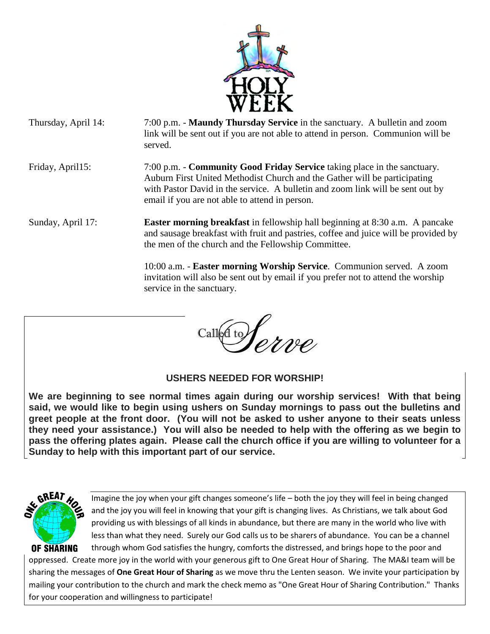

- Thursday, April 14: 7:00 p.m. **Maundy Thursday Service** in the sanctuary. A bulletin and zoom link will be sent out if you are not able to attend in person. Communion will be served. Friday, April15: 7:00 p.m. - **Community Good Friday Service** taking place in the sanctuary. Auburn First United Methodist Church and the Gather will be participating with Pastor David in the service. A bulletin and zoom link will be sent out by email if you are not able to attend in person.
- Sunday, April 17: **Easter morning breakfast** in fellowship hall beginning at 8:30 a.m. A pancake and sausage breakfast with fruit and pastries, coffee and juice will be provided by the men of the church and the Fellowship Committee.

 10:00 a.m. - **Easter morning Worship Service**. Communion served. A zoom invitation will also be sent out by email if you prefer not to attend the worship service in the sanctuary.

Called to Serve

**USHERS NEEDED FOR WORSHIP!**

**We are beginning to see normal times again during our worship services! With that being said, we would like to begin using ushers on Sunday mornings to pass out the bulletins and greet people at the front door. (You will not be asked to usher anyone to their seats unless they need your assistance.) You will also be needed to help with the offering as we begin to pass the offering plates again. Please call the church office if you are willing to volunteer for a Sunday to help with this important part of our service.**



Imagine the joy when your gift changes someone's life – both the joy they will feel in being changed and the joy you will feel in knowing that your gift is changing lives. As Christians, we talk about God providing us with blessings of all kinds in abundance, but there are many in the world who live with less than what they need. Surely our God calls us to be sharers of abundance. You can be a channel through whom God satisfies the hungry, comforts the distressed, and brings hope to the poor and

oppressed. Create more joy in the world with your generous gift to One Great Hour of Sharing. The MA&I team will be sharing the messages of **One Great Hour of Sharing** as we move thru the Lenten season. We invite your participation by mailing your contribution to the church and mark the check memo as "One Great Hour of Sharing Contribution." Thanks for your cooperation and willingness to participate!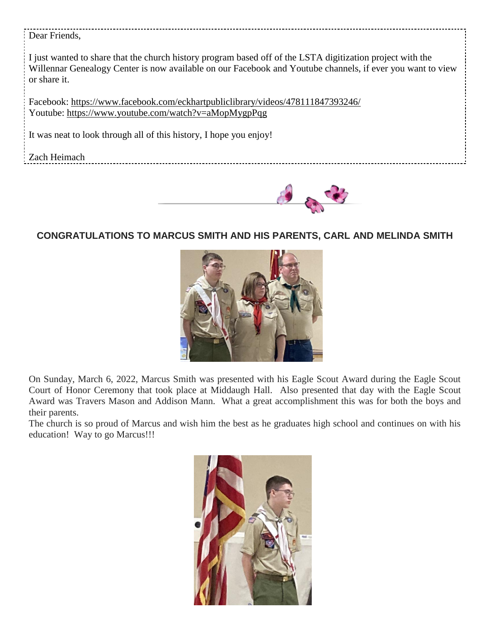#### Dear Friends,

I just wanted to share that the church history program based off of the LSTA digitization project with the Willennar Genealogy Center is now available on our Facebook and Youtube channels, if ever you want to view or share it.

Facebook: https://www.facebook.com/eckhartpubliclibrary/videos/478111847393246/ Youtube: https://www.youtube.com/watch?v=aMopMygpPqg

It was neat to look through all of this history, I hope you enjoy!

Zach Heimach



## **CONGRATULATIONS TO MARCUS SMITH AND HIS PARENTS, CARL AND MELINDA SMITH**



On Sunday, March 6, 2022, Marcus Smith was presented with his Eagle Scout Award during the Eagle Scout Court of Honor Ceremony that took place at Middaugh Hall. Also presented that day with the Eagle Scout Award was Travers Mason and Addison Mann. What a great accomplishment this was for both the boys and their parents.

The church is so proud of Marcus and wish him the best as he graduates high school and continues on with his education! Way to go Marcus!!!